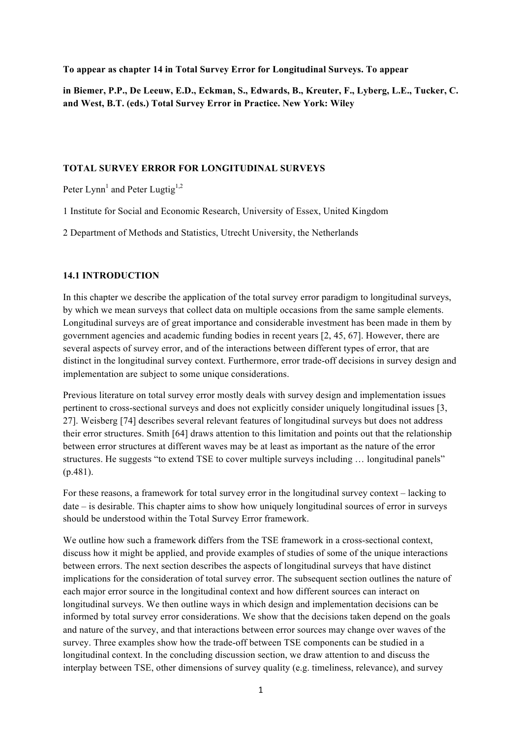**To appear as chapter 14 in Total Survey Error for Longitudinal Surveys. To appear** 

**in Biemer, P.P., De Leeuw, E.D., Eckman, S., Edwards, B., Kreuter, F., Lyberg, L.E., Tucker, C. and West, B.T. (eds.) Total Survey Error in Practice. New York: Wiley** 

# **TOTAL SURVEY ERROR FOR LONGITUDINAL SURVEYS**

Peter Lynn<sup>1</sup> and Peter Lugtig<sup>1,2</sup>

1 Institute for Social and Economic Research, University of Essex, United Kingdom

2 Department of Methods and Statistics, Utrecht University, the Netherlands

## **14.1 INTRODUCTION**

In this chapter we describe the application of the total survey error paradigm to longitudinal surveys, by which we mean surveys that collect data on multiple occasions from the same sample elements. Longitudinal surveys are of great importance and considerable investment has been made in them by government agencies and academic funding bodies in recent years [2, 45, 67]. However, there are several aspects of survey error, and of the interactions between different types of error, that are distinct in the longitudinal survey context. Furthermore, error trade-off decisions in survey design and implementation are subject to some unique considerations.

Previous literature on total survey error mostly deals with survey design and implementation issues pertinent to cross-sectional surveys and does not explicitly consider uniquely longitudinal issues [3, 27]. Weisberg [74] describes several relevant features of longitudinal surveys but does not address their error structures. Smith [64] draws attention to this limitation and points out that the relationship between error structures at different waves may be at least as important as the nature of the error structures. He suggests "to extend TSE to cover multiple surveys including … longitudinal panels" (p.481).

For these reasons, a framework for total survey error in the longitudinal survey context – lacking to date – is desirable. This chapter aims to show how uniquely longitudinal sources of error in surveys should be understood within the Total Survey Error framework.

We outline how such a framework differs from the TSE framework in a cross-sectional context, discuss how it might be applied, and provide examples of studies of some of the unique interactions between errors. The next section describes the aspects of longitudinal surveys that have distinct implications for the consideration of total survey error. The subsequent section outlines the nature of each major error source in the longitudinal context and how different sources can interact on longitudinal surveys. We then outline ways in which design and implementation decisions can be informed by total survey error considerations. We show that the decisions taken depend on the goals and nature of the survey, and that interactions between error sources may change over waves of the survey. Three examples show how the trade-off between TSE components can be studied in a longitudinal context. In the concluding discussion section, we draw attention to and discuss the interplay between TSE, other dimensions of survey quality (e.g. timeliness, relevance), and survey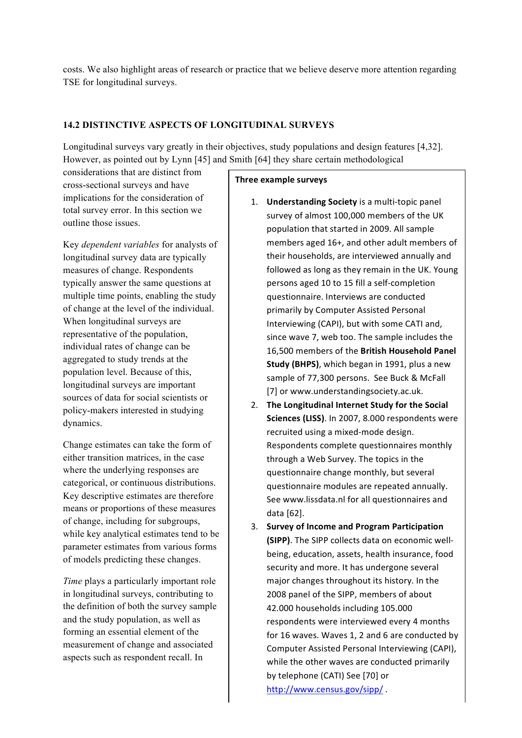costs. We also highlight areas of research or practice that we believe deserve more attention regarding TSE for longitudinal surveys.

# **14.2 DISTINCTIVE ASPECTS OF LONGITUDINAL SURVEYS**

Longitudinal surveys vary greatly in their objectives, study populations and design features [4,32]. However, as pointed out by Lynn [45] and Smith [64] they share certain methodological

considerations that are distinct from cross-sectional surveys and have implications for the consideration of total survey error. In this section we outline those issues.

Key *dependent variables* for analysts of longitudinal survey data are typically measures of change. Respondents typically answer the same questions at multiple time points, enabling the study of change at the level of the individual. When longitudinal surveys are representative of the population, individual rates of change can be aggregated to study trends at the population level. Because of this, longitudinal surveys are important sources of data for social scientists or policy-makers interested in studying dynamics.

Change estimates can take the form of either transition matrices, in the case where the underlying responses are categorical, or continuous distributions. Key descriptive estimates are therefore means or proportions of these measures of change, including for subgroups, while key analytical estimates tend to be parameter estimates from various forms of models predicting these changes.

*Time* plays a particularly important role in longitudinal surveys, contributing to the definition of both the survey sample and the study population, as well as forming an essential element of the measurement of change and associated aspects such as respondent recall. In

#### **Three example surveys**

- 1. **Understanding Society** is a multi-topic panel survey of almost 100,000 members of the UK population that started in 2009. All sample members aged 16+, and other adult members of their households, are interviewed annually and followed as long as they remain in the UK. Young persons aged 10 to 15 fill a self-completion questionnaire. Interviews are conducted primarily by Computer Assisted Personal Interviewing (CAPI), but with some CATI and, since wave 7, web too. The sample includes the 16,500 members of the **British Household Panel Study (BHPS)**, which began in 1991, plus a new sample of 77,300 persons. See Buck & McFall [7] or www.understandingsociety.ac.uk.
- 2. The Longitudinal Internet Study for the Social **Sciences (LISS)**. In 2007, 8.000 respondents were recruited using a mixed-mode design. Respondents complete questionnaires monthly through a Web Survey. The topics in the questionnaire change monthly, but several questionnaire modules are repeated annually. See www.lissdata.nl for all questionnaires and data [62].
- 3. **Survey of Income and Program Participation (SIPP)**. The SIPP collects data on economic wellbeing, education, assets, health insurance, food security and more. It has undergone several major changes throughout its history. In the 2008 panel of the SIPP, members of about 42.000 households including 105.000 respondents were interviewed every 4 months for 16 waves. Waves 1, 2 and 6 are conducted by Computer Assisted Personal Interviewing (CAPI), while the other waves are conducted primarily by telephone (CATI) See [70] or http://www.census.gov/sipp/ .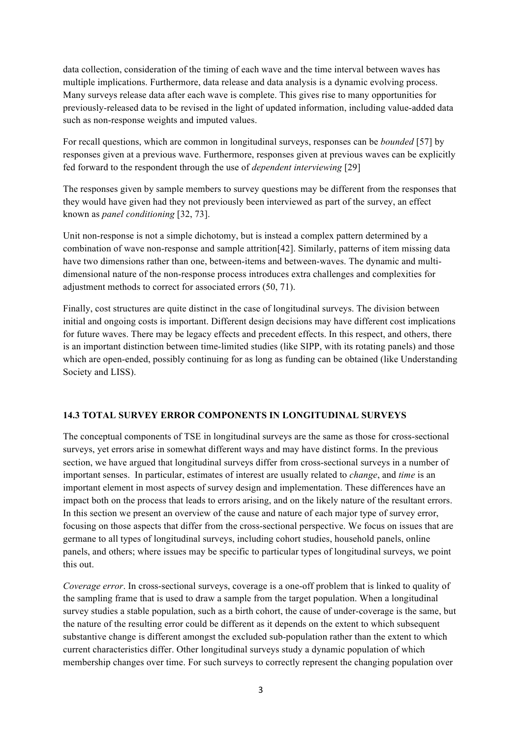data collection, consideration of the timing of each wave and the time interval between waves has multiple implications. Furthermore, data release and data analysis is a dynamic evolving process. Many surveys release data after each wave is complete. This gives rise to many opportunities for previously-released data to be revised in the light of updated information, including value-added data such as non-response weights and imputed values.

For recall questions, which are common in longitudinal surveys, responses can be *bounded* [57] by responses given at a previous wave. Furthermore, responses given at previous waves can be explicitly fed forward to the respondent through the use of *dependent interviewing* [29]

The responses given by sample members to survey questions may be different from the responses that they would have given had they not previously been interviewed as part of the survey, an effect known as *panel conditioning* [32, 73].

Unit non-response is not a simple dichotomy, but is instead a complex pattern determined by a combination of wave non-response and sample attrition[42]. Similarly, patterns of item missing data have two dimensions rather than one, between-items and between-waves. The dynamic and multidimensional nature of the non-response process introduces extra challenges and complexities for adjustment methods to correct for associated errors (50, 71).

Finally, cost structures are quite distinct in the case of longitudinal surveys. The division between initial and ongoing costs is important. Different design decisions may have different cost implications for future waves. There may be legacy effects and precedent effects. In this respect, and others, there is an important distinction between time-limited studies (like SIPP, with its rotating panels) and those which are open-ended, possibly continuing for as long as funding can be obtained (like Understanding Society and LISS).

#### **14.3 TOTAL SURVEY ERROR COMPONENTS IN LONGITUDINAL SURVEYS**

The conceptual components of TSE in longitudinal surveys are the same as those for cross-sectional surveys, yet errors arise in somewhat different ways and may have distinct forms. In the previous section, we have argued that longitudinal surveys differ from cross-sectional surveys in a number of important senses. In particular, estimates of interest are usually related to *change*, and *time* is an important element in most aspects of survey design and implementation. These differences have an impact both on the process that leads to errors arising, and on the likely nature of the resultant errors. In this section we present an overview of the cause and nature of each major type of survey error, focusing on those aspects that differ from the cross-sectional perspective. We focus on issues that are germane to all types of longitudinal surveys, including cohort studies, household panels, online panels, and others; where issues may be specific to particular types of longitudinal surveys, we point this out.

*Coverage error*. In cross-sectional surveys, coverage is a one-off problem that is linked to quality of the sampling frame that is used to draw a sample from the target population. When a longitudinal survey studies a stable population, such as a birth cohort, the cause of under-coverage is the same, but the nature of the resulting error could be different as it depends on the extent to which subsequent substantive change is different amongst the excluded sub-population rather than the extent to which current characteristics differ. Other longitudinal surveys study a dynamic population of which membership changes over time. For such surveys to correctly represent the changing population over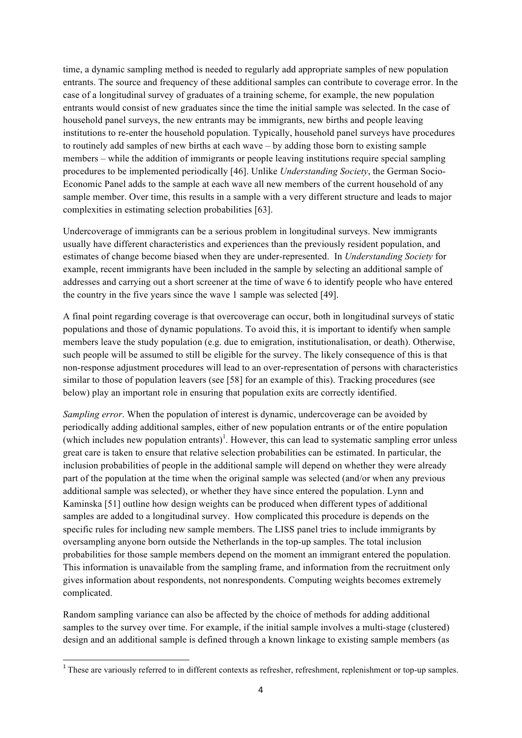time, a dynamic sampling method is needed to regularly add appropriate samples of new population entrants. The source and frequency of these additional samples can contribute to coverage error. In the case of a longitudinal survey of graduates of a training scheme, for example, the new population entrants would consist of new graduates since the time the initial sample was selected. In the case of household panel surveys, the new entrants may be immigrants, new births and people leaving institutions to re-enter the household population. Typically, household panel surveys have procedures to routinely add samples of new births at each wave – by adding those born to existing sample members – while the addition of immigrants or people leaving institutions require special sampling procedures to be implemented periodically [46]. Unlike *Understanding Society*, the German Socio-Economic Panel adds to the sample at each wave all new members of the current household of any sample member. Over time, this results in a sample with a very different structure and leads to major complexities in estimating selection probabilities [63].

Undercoverage of immigrants can be a serious problem in longitudinal surveys. New immigrants usually have different characteristics and experiences than the previously resident population, and estimates of change become biased when they are under-represented. In *Understanding Society* for example, recent immigrants have been included in the sample by selecting an additional sample of addresses and carrying out a short screener at the time of wave 6 to identify people who have entered the country in the five years since the wave 1 sample was selected [49].

A final point regarding coverage is that overcoverage can occur, both in longitudinal surveys of static populations and those of dynamic populations. To avoid this, it is important to identify when sample members leave the study population (e.g. due to emigration, institutionalisation, or death). Otherwise, such people will be assumed to still be eligible for the survey. The likely consequence of this is that non-response adjustment procedures will lead to an over-representation of persons with characteristics similar to those of population leavers (see [58] for an example of this). Tracking procedures (see below) play an important role in ensuring that population exits are correctly identified.

*Sampling error*. When the population of interest is dynamic, undercoverage can be avoided by periodically adding additional samples, either of new population entrants or of the entire population (which includes new population entrants)<sup>1</sup>. However, this can lead to systematic sampling error unless great care is taken to ensure that relative selection probabilities can be estimated. In particular, the inclusion probabilities of people in the additional sample will depend on whether they were already part of the population at the time when the original sample was selected (and/or when any previous additional sample was selected), or whether they have since entered the population. Lynn and Kaminska [51] outline how design weights can be produced when different types of additional samples are added to a longitudinal survey. How complicated this procedure is depends on the specific rules for including new sample members. The LISS panel tries to include immigrants by oversampling anyone born outside the Netherlands in the top-up samples. The total inclusion probabilities for those sample members depend on the moment an immigrant entered the population. This information is unavailable from the sampling frame, and information from the recruitment only gives information about respondents, not nonrespondents. Computing weights becomes extremely complicated.

Random sampling variance can also be affected by the choice of methods for adding additional samples to the survey over time. For example, if the initial sample involves a multi-stage (clustered) design and an additional sample is defined through a known linkage to existing sample members (as

 

 $1$  These are variously referred to in different contexts as refresher, refreshment, replenishment or top-up samples.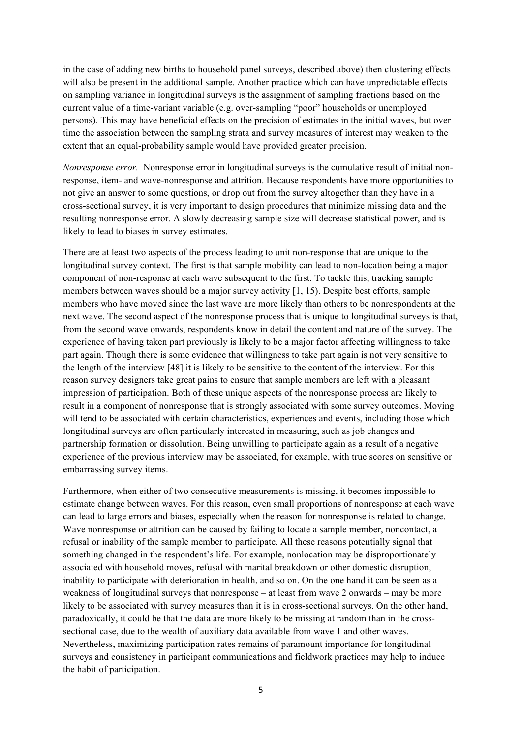in the case of adding new births to household panel surveys, described above) then clustering effects will also be present in the additional sample. Another practice which can have unpredictable effects on sampling variance in longitudinal surveys is the assignment of sampling fractions based on the current value of a time-variant variable (e.g. over-sampling "poor" households or unemployed persons). This may have beneficial effects on the precision of estimates in the initial waves, but over time the association between the sampling strata and survey measures of interest may weaken to the extent that an equal-probability sample would have provided greater precision.

*Nonresponse error.* Nonresponse error in longitudinal surveys is the cumulative result of initial nonresponse, item- and wave-nonresponse and attrition. Because respondents have more opportunities to not give an answer to some questions, or drop out from the survey altogether than they have in a cross-sectional survey, it is very important to design procedures that minimize missing data and the resulting nonresponse error. A slowly decreasing sample size will decrease statistical power, and is likely to lead to biases in survey estimates.

There are at least two aspects of the process leading to unit non-response that are unique to the longitudinal survey context. The first is that sample mobility can lead to non-location being a major component of non-response at each wave subsequent to the first. To tackle this, tracking sample members between waves should be a major survey activity [1, 15). Despite best efforts, sample members who have moved since the last wave are more likely than others to be nonrespondents at the next wave. The second aspect of the nonresponse process that is unique to longitudinal surveys is that, from the second wave onwards, respondents know in detail the content and nature of the survey. The experience of having taken part previously is likely to be a major factor affecting willingness to take part again. Though there is some evidence that willingness to take part again is not very sensitive to the length of the interview [48] it is likely to be sensitive to the content of the interview. For this reason survey designers take great pains to ensure that sample members are left with a pleasant impression of participation. Both of these unique aspects of the nonresponse process are likely to result in a component of nonresponse that is strongly associated with some survey outcomes. Moving will tend to be associated with certain characteristics, experiences and events, including those which longitudinal surveys are often particularly interested in measuring, such as job changes and partnership formation or dissolution. Being unwilling to participate again as a result of a negative experience of the previous interview may be associated, for example, with true scores on sensitive or embarrassing survey items.

Furthermore, when either of two consecutive measurements is missing, it becomes impossible to estimate change between waves. For this reason, even small proportions of nonresponse at each wave can lead to large errors and biases, especially when the reason for nonresponse is related to change. Wave nonresponse or attrition can be caused by failing to locate a sample member, noncontact, a refusal or inability of the sample member to participate. All these reasons potentially signal that something changed in the respondent's life. For example, nonlocation may be disproportionately associated with household moves, refusal with marital breakdown or other domestic disruption, inability to participate with deterioration in health, and so on. On the one hand it can be seen as a weakness of longitudinal surveys that nonresponse – at least from wave 2 onwards – may be more likely to be associated with survey measures than it is in cross-sectional surveys. On the other hand, paradoxically, it could be that the data are more likely to be missing at random than in the crosssectional case, due to the wealth of auxiliary data available from wave 1 and other waves. Nevertheless, maximizing participation rates remains of paramount importance for longitudinal surveys and consistency in participant communications and fieldwork practices may help to induce the habit of participation.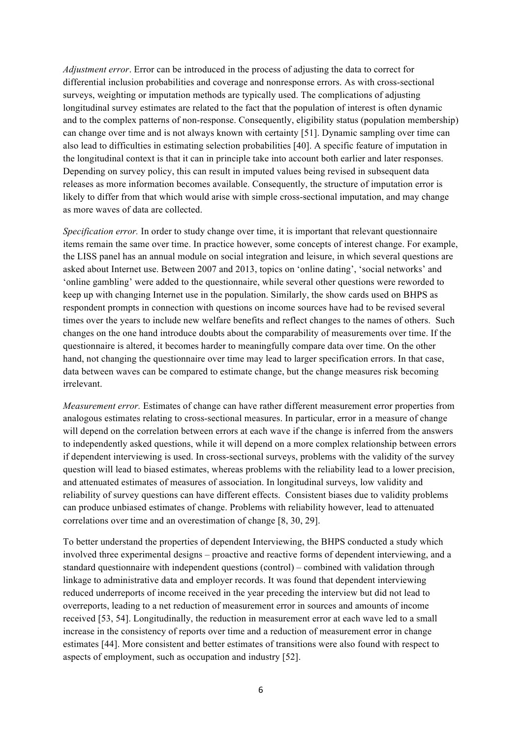*Adjustment error*. Error can be introduced in the process of adjusting the data to correct for differential inclusion probabilities and coverage and nonresponse errors. As with cross-sectional surveys, weighting or imputation methods are typically used. The complications of adjusting longitudinal survey estimates are related to the fact that the population of interest is often dynamic and to the complex patterns of non-response. Consequently, eligibility status (population membership) can change over time and is not always known with certainty [51]. Dynamic sampling over time can also lead to difficulties in estimating selection probabilities [40]. A specific feature of imputation in the longitudinal context is that it can in principle take into account both earlier and later responses. Depending on survey policy, this can result in imputed values being revised in subsequent data releases as more information becomes available. Consequently, the structure of imputation error is likely to differ from that which would arise with simple cross-sectional imputation, and may change as more waves of data are collected.

*Specification error.* In order to study change over time, it is important that relevant questionnaire items remain the same over time. In practice however, some concepts of interest change. For example, the LISS panel has an annual module on social integration and leisure, in which several questions are asked about Internet use. Between 2007 and 2013, topics on 'online dating', 'social networks' and 'online gambling' were added to the questionnaire, while several other questions were reworded to keep up with changing Internet use in the population. Similarly, the show cards used on BHPS as respondent prompts in connection with questions on income sources have had to be revised several times over the years to include new welfare benefits and reflect changes to the names of others. Such changes on the one hand introduce doubts about the comparability of measurements over time. If the questionnaire is altered, it becomes harder to meaningfully compare data over time. On the other hand, not changing the questionnaire over time may lead to larger specification errors. In that case, data between waves can be compared to estimate change, but the change measures risk becoming irrelevant.

*Measurement error.* Estimates of change can have rather different measurement error properties from analogous estimates relating to cross-sectional measures. In particular, error in a measure of change will depend on the correlation between errors at each wave if the change is inferred from the answers to independently asked questions, while it will depend on a more complex relationship between errors if dependent interviewing is used. In cross-sectional surveys, problems with the validity of the survey question will lead to biased estimates, whereas problems with the reliability lead to a lower precision, and attenuated estimates of measures of association. In longitudinal surveys, low validity and reliability of survey questions can have different effects. Consistent biases due to validity problems can produce unbiased estimates of change. Problems with reliability however, lead to attenuated correlations over time and an overestimation of change [8, 30, 29].

To better understand the properties of dependent Interviewing, the BHPS conducted a study which involved three experimental designs – proactive and reactive forms of dependent interviewing, and a standard questionnaire with independent questions (control) – combined with validation through linkage to administrative data and employer records. It was found that dependent interviewing reduced underreports of income received in the year preceding the interview but did not lead to overreports, leading to a net reduction of measurement error in sources and amounts of income received [53, 54]. Longitudinally, the reduction in measurement error at each wave led to a small increase in the consistency of reports over time and a reduction of measurement error in change estimates [44]. More consistent and better estimates of transitions were also found with respect to aspects of employment, such as occupation and industry [52].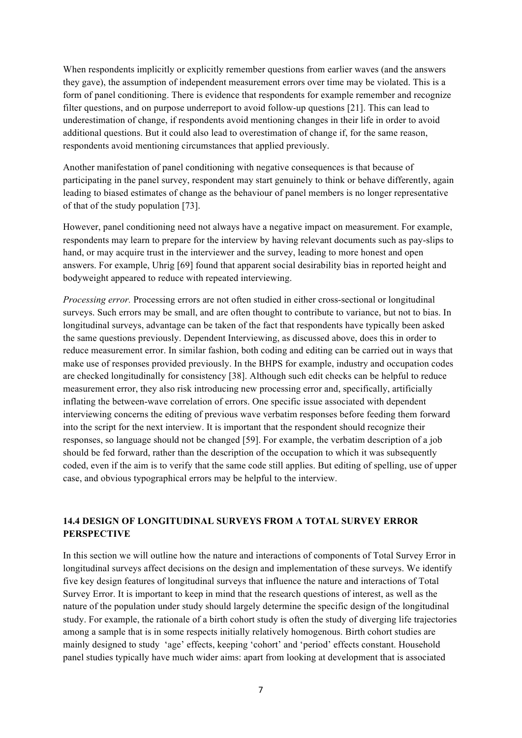When respondents implicitly or explicitly remember questions from earlier waves (and the answers they gave), the assumption of independent measurement errors over time may be violated. This is a form of panel conditioning. There is evidence that respondents for example remember and recognize filter questions, and on purpose underreport to avoid follow-up questions [21]. This can lead to underestimation of change, if respondents avoid mentioning changes in their life in order to avoid additional questions. But it could also lead to overestimation of change if, for the same reason, respondents avoid mentioning circumstances that applied previously.

Another manifestation of panel conditioning with negative consequences is that because of participating in the panel survey, respondent may start genuinely to think or behave differently, again leading to biased estimates of change as the behaviour of panel members is no longer representative of that of the study population [73].

However, panel conditioning need not always have a negative impact on measurement. For example, respondents may learn to prepare for the interview by having relevant documents such as pay-slips to hand, or may acquire trust in the interviewer and the survey, leading to more honest and open answers. For example, Uhrig [69] found that apparent social desirability bias in reported height and bodyweight appeared to reduce with repeated interviewing.

*Processing error.* Processing errors are not often studied in either cross-sectional or longitudinal surveys. Such errors may be small, and are often thought to contribute to variance, but not to bias. In longitudinal surveys, advantage can be taken of the fact that respondents have typically been asked the same questions previously. Dependent Interviewing, as discussed above, does this in order to reduce measurement error. In similar fashion, both coding and editing can be carried out in ways that make use of responses provided previously. In the BHPS for example, industry and occupation codes are checked longitudinally for consistency [38]. Although such edit checks can be helpful to reduce measurement error, they also risk introducing new processing error and, specifically, artificially inflating the between-wave correlation of errors. One specific issue associated with dependent interviewing concerns the editing of previous wave verbatim responses before feeding them forward into the script for the next interview. It is important that the respondent should recognize their responses, so language should not be changed [59]. For example, the verbatim description of a job should be fed forward, rather than the description of the occupation to which it was subsequently coded, even if the aim is to verify that the same code still applies. But editing of spelling, use of upper case, and obvious typographical errors may be helpful to the interview.

# **14.4 DESIGN OF LONGITUDINAL SURVEYS FROM A TOTAL SURVEY ERROR PERSPECTIVE**

In this section we will outline how the nature and interactions of components of Total Survey Error in longitudinal surveys affect decisions on the design and implementation of these surveys. We identify five key design features of longitudinal surveys that influence the nature and interactions of Total Survey Error. It is important to keep in mind that the research questions of interest, as well as the nature of the population under study should largely determine the specific design of the longitudinal study. For example, the rationale of a birth cohort study is often the study of diverging life trajectories among a sample that is in some respects initially relatively homogenous. Birth cohort studies are mainly designed to study 'age' effects, keeping 'cohort' and 'period' effects constant. Household panel studies typically have much wider aims: apart from looking at development that is associated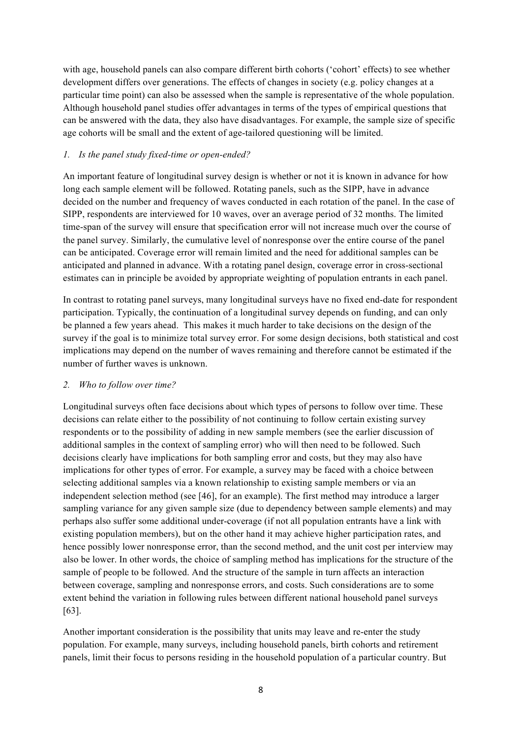with age, household panels can also compare different birth cohorts ('cohort' effects) to see whether development differs over generations. The effects of changes in society (e.g. policy changes at a particular time point) can also be assessed when the sample is representative of the whole population. Although household panel studies offer advantages in terms of the types of empirical questions that can be answered with the data, they also have disadvantages. For example, the sample size of specific age cohorts will be small and the extent of age-tailored questioning will be limited.

### *1. Is the panel study fixed-time or open-ended?*

An important feature of longitudinal survey design is whether or not it is known in advance for how long each sample element will be followed. Rotating panels, such as the SIPP, have in advance decided on the number and frequency of waves conducted in each rotation of the panel. In the case of SIPP, respondents are interviewed for 10 waves, over an average period of 32 months. The limited time-span of the survey will ensure that specification error will not increase much over the course of the panel survey. Similarly, the cumulative level of nonresponse over the entire course of the panel can be anticipated. Coverage error will remain limited and the need for additional samples can be anticipated and planned in advance. With a rotating panel design, coverage error in cross-sectional estimates can in principle be avoided by appropriate weighting of population entrants in each panel.

In contrast to rotating panel surveys, many longitudinal surveys have no fixed end-date for respondent participation. Typically, the continuation of a longitudinal survey depends on funding, and can only be planned a few years ahead. This makes it much harder to take decisions on the design of the survey if the goal is to minimize total survey error. For some design decisions, both statistical and cost implications may depend on the number of waves remaining and therefore cannot be estimated if the number of further waves is unknown.

#### *2. Who to follow over time?*

Longitudinal surveys often face decisions about which types of persons to follow over time. These decisions can relate either to the possibility of not continuing to follow certain existing survey respondents or to the possibility of adding in new sample members (see the earlier discussion of additional samples in the context of sampling error) who will then need to be followed. Such decisions clearly have implications for both sampling error and costs, but they may also have implications for other types of error. For example, a survey may be faced with a choice between selecting additional samples via a known relationship to existing sample members or via an independent selection method (see [46], for an example). The first method may introduce a larger sampling variance for any given sample size (due to dependency between sample elements) and may perhaps also suffer some additional under-coverage (if not all population entrants have a link with existing population members), but on the other hand it may achieve higher participation rates, and hence possibly lower nonresponse error, than the second method, and the unit cost per interview may also be lower. In other words, the choice of sampling method has implications for the structure of the sample of people to be followed. And the structure of the sample in turn affects an interaction between coverage, sampling and nonresponse errors, and costs. Such considerations are to some extent behind the variation in following rules between different national household panel surveys [63].

Another important consideration is the possibility that units may leave and re-enter the study population. For example, many surveys, including household panels, birth cohorts and retirement panels, limit their focus to persons residing in the household population of a particular country. But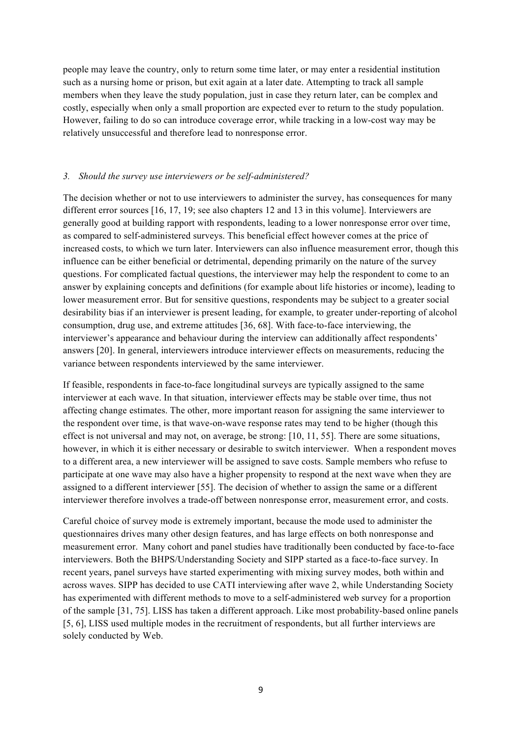people may leave the country, only to return some time later, or may enter a residential institution such as a nursing home or prison, but exit again at a later date. Attempting to track all sample members when they leave the study population, just in case they return later, can be complex and costly, especially when only a small proportion are expected ever to return to the study population. However, failing to do so can introduce coverage error, while tracking in a low-cost way may be relatively unsuccessful and therefore lead to nonresponse error.

#### *3. Should the survey use interviewers or be self-administered?*

The decision whether or not to use interviewers to administer the survey, has consequences for many different error sources [16, 17, 19; see also chapters 12 and 13 in this volume]. Interviewers are generally good at building rapport with respondents, leading to a lower nonresponse error over time, as compared to self-administered surveys. This beneficial effect however comes at the price of increased costs, to which we turn later. Interviewers can also influence measurement error, though this influence can be either beneficial or detrimental, depending primarily on the nature of the survey questions. For complicated factual questions, the interviewer may help the respondent to come to an answer by explaining concepts and definitions (for example about life histories or income), leading to lower measurement error. But for sensitive questions, respondents may be subject to a greater social desirability bias if an interviewer is present leading, for example, to greater under-reporting of alcohol consumption, drug use, and extreme attitudes [36, 68]. With face-to-face interviewing, the interviewer's appearance and behaviour during the interview can additionally affect respondents' answers [20]. In general, interviewers introduce interviewer effects on measurements, reducing the variance between respondents interviewed by the same interviewer.

If feasible, respondents in face-to-face longitudinal surveys are typically assigned to the same interviewer at each wave. In that situation, interviewer effects may be stable over time, thus not affecting change estimates. The other, more important reason for assigning the same interviewer to the respondent over time, is that wave-on-wave response rates may tend to be higher (though this effect is not universal and may not, on average, be strong: [10, 11, 55]. There are some situations, however, in which it is either necessary or desirable to switch interviewer. When a respondent moves to a different area, a new interviewer will be assigned to save costs. Sample members who refuse to participate at one wave may also have a higher propensity to respond at the next wave when they are assigned to a different interviewer [55]. The decision of whether to assign the same or a different interviewer therefore involves a trade-off between nonresponse error, measurement error, and costs.

Careful choice of survey mode is extremely important, because the mode used to administer the questionnaires drives many other design features, and has large effects on both nonresponse and measurement error. Many cohort and panel studies have traditionally been conducted by face-to-face interviewers. Both the BHPS/Understanding Society and SIPP started as a face-to-face survey. In recent years, panel surveys have started experimenting with mixing survey modes, both within and across waves. SIPP has decided to use CATI interviewing after wave 2, while Understanding Society has experimented with different methods to move to a self-administered web survey for a proportion of the sample [31, 75]. LISS has taken a different approach. Like most probability-based online panels [5, 6], LISS used multiple modes in the recruitment of respondents, but all further interviews are solely conducted by Web.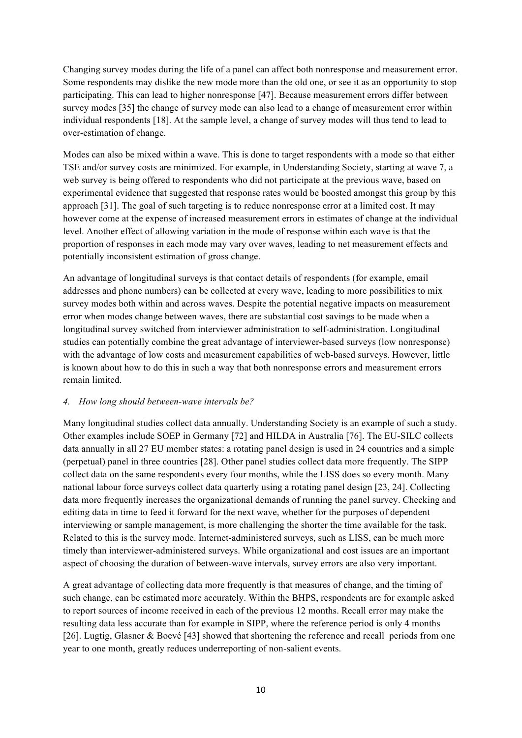Changing survey modes during the life of a panel can affect both nonresponse and measurement error. Some respondents may dislike the new mode more than the old one, or see it as an opportunity to stop participating. This can lead to higher nonresponse [47]. Because measurement errors differ between survey modes [35] the change of survey mode can also lead to a change of measurement error within individual respondents [18]. At the sample level, a change of survey modes will thus tend to lead to over-estimation of change.

Modes can also be mixed within a wave. This is done to target respondents with a mode so that either TSE and/or survey costs are minimized. For example, in Understanding Society, starting at wave 7, a web survey is being offered to respondents who did not participate at the previous wave, based on experimental evidence that suggested that response rates would be boosted amongst this group by this approach [31]. The goal of such targeting is to reduce nonresponse error at a limited cost. It may however come at the expense of increased measurement errors in estimates of change at the individual level. Another effect of allowing variation in the mode of response within each wave is that the proportion of responses in each mode may vary over waves, leading to net measurement effects and potentially inconsistent estimation of gross change.

An advantage of longitudinal surveys is that contact details of respondents (for example, email addresses and phone numbers) can be collected at every wave, leading to more possibilities to mix survey modes both within and across waves. Despite the potential negative impacts on measurement error when modes change between waves, there are substantial cost savings to be made when a longitudinal survey switched from interviewer administration to self-administration. Longitudinal studies can potentially combine the great advantage of interviewer-based surveys (low nonresponse) with the advantage of low costs and measurement capabilities of web-based surveys. However, little is known about how to do this in such a way that both nonresponse errors and measurement errors remain limited.

#### *4. How long should between-wave intervals be?*

Many longitudinal studies collect data annually. Understanding Society is an example of such a study. Other examples include SOEP in Germany [72] and HILDA in Australia [76]. The EU-SILC collects data annually in all 27 EU member states: a rotating panel design is used in 24 countries and a simple (perpetual) panel in three countries [28]. Other panel studies collect data more frequently. The SIPP collect data on the same respondents every four months, while the LISS does so every month. Many national labour force surveys collect data quarterly using a rotating panel design [23, 24]. Collecting data more frequently increases the organizational demands of running the panel survey. Checking and editing data in time to feed it forward for the next wave, whether for the purposes of dependent interviewing or sample management, is more challenging the shorter the time available for the task. Related to this is the survey mode. Internet-administered surveys, such as LISS, can be much more timely than interviewer-administered surveys. While organizational and cost issues are an important aspect of choosing the duration of between-wave intervals, survey errors are also very important.

A great advantage of collecting data more frequently is that measures of change, and the timing of such change, can be estimated more accurately. Within the BHPS, respondents are for example asked to report sources of income received in each of the previous 12 months. Recall error may make the resulting data less accurate than for example in SIPP, where the reference period is only 4 months [26]. Lugtig, Glasner & Boevé [43] showed that shortening the reference and recall periods from one year to one month, greatly reduces underreporting of non-salient events.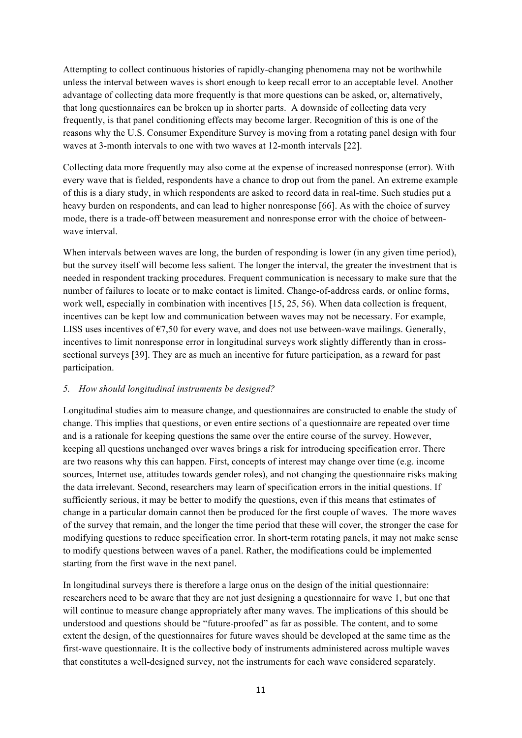Attempting to collect continuous histories of rapidly-changing phenomena may not be worthwhile unless the interval between waves is short enough to keep recall error to an acceptable level. Another advantage of collecting data more frequently is that more questions can be asked, or, alternatively, that long questionnaires can be broken up in shorter parts. A downside of collecting data very frequently, is that panel conditioning effects may become larger. Recognition of this is one of the reasons why the U.S. Consumer Expenditure Survey is moving from a rotating panel design with four waves at 3-month intervals to one with two waves at 12-month intervals [22].

Collecting data more frequently may also come at the expense of increased nonresponse (error). With every wave that is fielded, respondents have a chance to drop out from the panel. An extreme example of this is a diary study, in which respondents are asked to record data in real-time. Such studies put a heavy burden on respondents, and can lead to higher nonresponse [66]. As with the choice of survey mode, there is a trade-off between measurement and nonresponse error with the choice of betweenwave interval.

When intervals between waves are long, the burden of responding is lower (in any given time period), but the survey itself will become less salient. The longer the interval, the greater the investment that is needed in respondent tracking procedures. Frequent communication is necessary to make sure that the number of failures to locate or to make contact is limited. Change-of-address cards, or online forms, work well, especially in combination with incentives [15, 25, 56). When data collection is frequent, incentives can be kept low and communication between waves may not be necessary. For example, LISS uses incentives of  $\epsilon$ 7,50 for every wave, and does not use between-wave mailings. Generally, incentives to limit nonresponse error in longitudinal surveys work slightly differently than in crosssectional surveys [39]. They are as much an incentive for future participation, as a reward for past participation.

#### *5. How should longitudinal instruments be designed?*

Longitudinal studies aim to measure change, and questionnaires are constructed to enable the study of change. This implies that questions, or even entire sections of a questionnaire are repeated over time and is a rationale for keeping questions the same over the entire course of the survey. However, keeping all questions unchanged over waves brings a risk for introducing specification error. There are two reasons why this can happen. First, concepts of interest may change over time (e.g. income sources, Internet use, attitudes towards gender roles), and not changing the questionnaire risks making the data irrelevant. Second, researchers may learn of specification errors in the initial questions. If sufficiently serious, it may be better to modify the questions, even if this means that estimates of change in a particular domain cannot then be produced for the first couple of waves. The more waves of the survey that remain, and the longer the time period that these will cover, the stronger the case for modifying questions to reduce specification error. In short-term rotating panels, it may not make sense to modify questions between waves of a panel. Rather, the modifications could be implemented starting from the first wave in the next panel.

In longitudinal surveys there is therefore a large onus on the design of the initial questionnaire: researchers need to be aware that they are not just designing a questionnaire for wave 1, but one that will continue to measure change appropriately after many waves. The implications of this should be understood and questions should be "future-proofed" as far as possible. The content, and to some extent the design, of the questionnaires for future waves should be developed at the same time as the first-wave questionnaire. It is the collective body of instruments administered across multiple waves that constitutes a well-designed survey, not the instruments for each wave considered separately.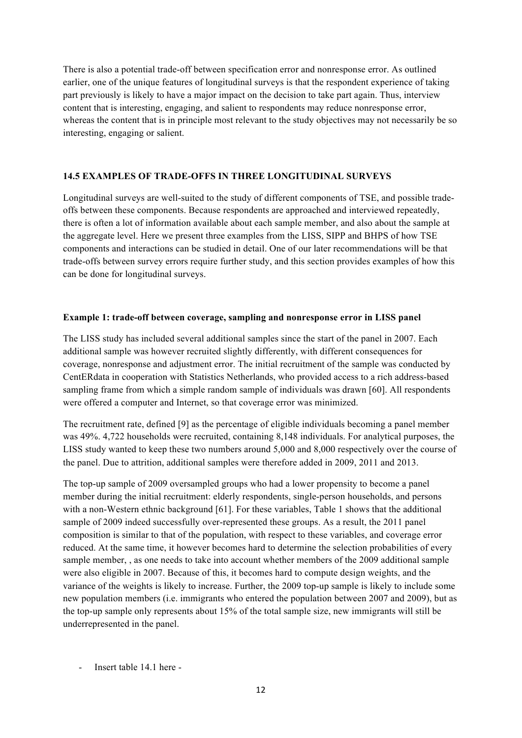There is also a potential trade-off between specification error and nonresponse error. As outlined earlier, one of the unique features of longitudinal surveys is that the respondent experience of taking part previously is likely to have a major impact on the decision to take part again. Thus, interview content that is interesting, engaging, and salient to respondents may reduce nonresponse error, whereas the content that is in principle most relevant to the study objectives may not necessarily be so interesting, engaging or salient.

# **14.5 EXAMPLES OF TRADE-OFFS IN THREE LONGITUDINAL SURVEYS**

Longitudinal surveys are well-suited to the study of different components of TSE, and possible tradeoffs between these components. Because respondents are approached and interviewed repeatedly, there is often a lot of information available about each sample member, and also about the sample at the aggregate level. Here we present three examples from the LISS, SIPP and BHPS of how TSE components and interactions can be studied in detail. One of our later recommendations will be that trade-offs between survey errors require further study, and this section provides examples of how this can be done for longitudinal surveys.

## **Example 1: trade-off between coverage, sampling and nonresponse error in LISS panel**

The LISS study has included several additional samples since the start of the panel in 2007. Each additional sample was however recruited slightly differently, with different consequences for coverage, nonresponse and adjustment error. The initial recruitment of the sample was conducted by CentERdata in cooperation with Statistics Netherlands, who provided access to a rich address-based sampling frame from which a simple random sample of individuals was drawn [60]. All respondents were offered a computer and Internet, so that coverage error was minimized.

The recruitment rate, defined [9] as the percentage of eligible individuals becoming a panel member was 49%. 4,722 households were recruited, containing 8,148 individuals. For analytical purposes, the LISS study wanted to keep these two numbers around 5,000 and 8,000 respectively over the course of the panel. Due to attrition, additional samples were therefore added in 2009, 2011 and 2013.

The top-up sample of 2009 oversampled groups who had a lower propensity to become a panel member during the initial recruitment: elderly respondents, single-person households, and persons with a non-Western ethnic background [61]. For these variables, Table 1 shows that the additional sample of 2009 indeed successfully over-represented these groups. As a result, the 2011 panel composition is similar to that of the population, with respect to these variables, and coverage error reduced. At the same time, it however becomes hard to determine the selection probabilities of every sample member, , as one needs to take into account whether members of the 2009 additional sample were also eligible in 2007. Because of this, it becomes hard to compute design weights, and the variance of the weights is likely to increase. Further, the 2009 top-up sample is likely to include some new population members (i.e. immigrants who entered the population between 2007 and 2009), but as the top-up sample only represents about 15% of the total sample size, new immigrants will still be underrepresented in the panel.

<sup>-</sup> Insert table 14.1 here -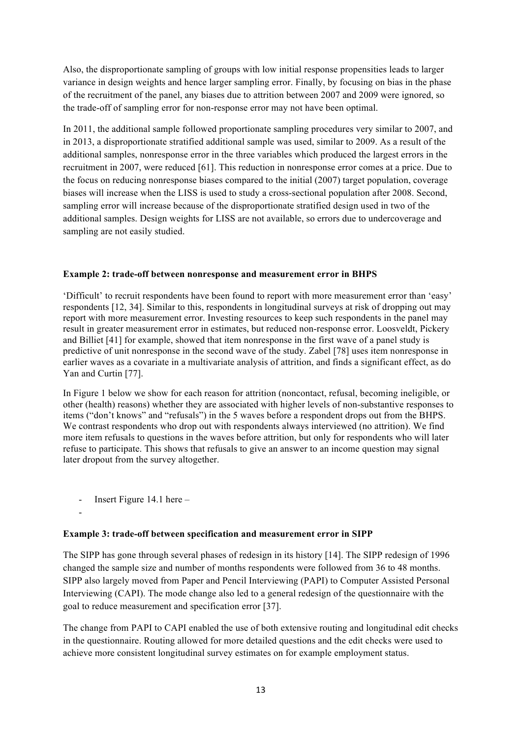Also, the disproportionate sampling of groups with low initial response propensities leads to larger variance in design weights and hence larger sampling error. Finally, by focusing on bias in the phase of the recruitment of the panel, any biases due to attrition between 2007 and 2009 were ignored, so the trade-off of sampling error for non-response error may not have been optimal.

In 2011, the additional sample followed proportionate sampling procedures very similar to 2007, and in 2013, a disproportionate stratified additional sample was used, similar to 2009. As a result of the additional samples, nonresponse error in the three variables which produced the largest errors in the recruitment in 2007, were reduced [61]. This reduction in nonresponse error comes at a price. Due to the focus on reducing nonresponse biases compared to the initial (2007) target population, coverage biases will increase when the LISS is used to study a cross-sectional population after 2008. Second, sampling error will increase because of the disproportionate stratified design used in two of the additional samples. Design weights for LISS are not available, so errors due to undercoverage and sampling are not easily studied.

## **Example 2: trade-off between nonresponse and measurement error in BHPS**

'Difficult' to recruit respondents have been found to report with more measurement error than 'easy' respondents [12, 34]. Similar to this, respondents in longitudinal surveys at risk of dropping out may report with more measurement error. Investing resources to keep such respondents in the panel may result in greater measurement error in estimates, but reduced non-response error. Loosveldt, Pickery and Billiet [41] for example, showed that item nonresponse in the first wave of a panel study is predictive of unit nonresponse in the second wave of the study. Zabel [78] uses item nonresponse in earlier waves as a covariate in a multivariate analysis of attrition, and finds a significant effect, as do Yan and Curtin [77].

In Figure 1 below we show for each reason for attrition (noncontact, refusal, becoming ineligible, or other (health) reasons) whether they are associated with higher levels of non-substantive responses to items ("don't knows" and "refusals") in the 5 waves before a respondent drops out from the BHPS. We contrast respondents who drop out with respondents always interviewed (no attrition). We find more item refusals to questions in the waves before attrition, but only for respondents who will later refuse to participate. This shows that refusals to give an answer to an income question may signal later dropout from the survey altogether.

- Insert Figure 14.1 here –

-

#### **Example 3: trade-off between specification and measurement error in SIPP**

The SIPP has gone through several phases of redesign in its history [14]. The SIPP redesign of 1996 changed the sample size and number of months respondents were followed from 36 to 48 months. SIPP also largely moved from Paper and Pencil Interviewing (PAPI) to Computer Assisted Personal Interviewing (CAPI). The mode change also led to a general redesign of the questionnaire with the goal to reduce measurement and specification error [37].

The change from PAPI to CAPI enabled the use of both extensive routing and longitudinal edit checks in the questionnaire. Routing allowed for more detailed questions and the edit checks were used to achieve more consistent longitudinal survey estimates on for example employment status.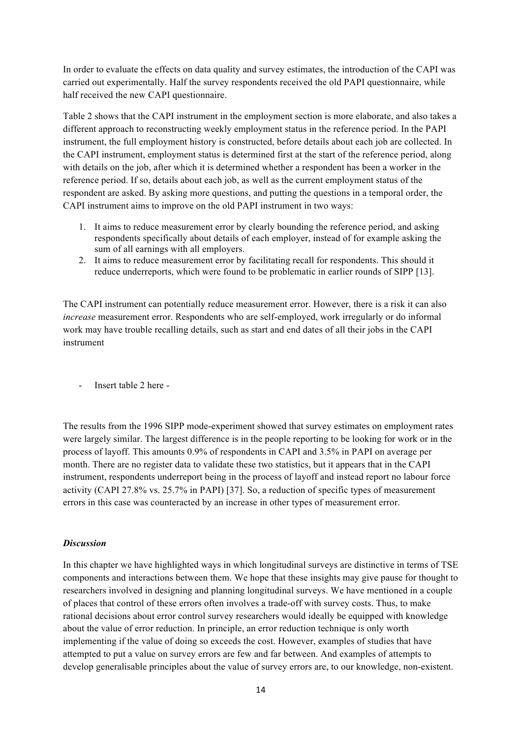In order to evaluate the effects on data quality and survey estimates, the introduction of the CAPI was carried out experimentally. Half the survey respondents received the old PAPI questionnaire, while half received the new CAPI questionnaire.

Table 2 shows that the CAPI instrument in the employment section is more elaborate, and also takes a different approach to reconstructing weekly employment status in the reference period. In the PAPI instrument, the full employment history is constructed, before details about each job are collected. In the CAPI instrument, employment status is determined first at the start of the reference period, along with details on the job, after which it is determined whether a respondent has been a worker in the reference period. If so, details about each job, as well as the current employment status of the respondent are asked. By asking more questions, and putting the questions in a temporal order, the CAPI instrument aims to improve on the old PAPI instrument in two ways:

- 1. It aims to reduce measurement error by clearly bounding the reference period, and asking respondents specifically about details of each employer, instead of for example asking the sum of all earnings with all employers.
- 2. It aims to reduce measurement error by facilitating recall for respondents. This should it reduce underreports, which were found to be problematic in earlier rounds of SIPP [13].

The CAPI instrument can potentially reduce measurement error. However, there is a risk it can also *increase* measurement error. Respondents who are self-employed, work irregularly or do informal work may have trouble recalling details, such as start and end dates of all their jobs in the CAPI instrument

- Insert table 2 here -

The results from the 1996 SIPP mode-experiment showed that survey estimates on employment rates were largely similar. The largest difference is in the people reporting to be looking for work or in the process of layoff. This amounts 0.9% of respondents in CAPI and 3.5% in PAPI on average per month. There are no register data to validate these two statistics, but it appears that in the CAPI instrument, respondents underreport being in the process of layoff and instead report no labour force activity (CAPI 27.8% vs. 25.7% in PAPI) [37]. So, a reduction of specific types of measurement errors in this case was counteracted by an increase in other types of measurement error.

#### *Discussion*

In this chapter we have highlighted ways in which longitudinal surveys are distinctive in terms of TSE components and interactions between them. We hope that these insights may give pause for thought to researchers involved in designing and planning longitudinal surveys. We have mentioned in a couple of places that control of these errors often involves a trade-off with survey costs. Thus, to make rational decisions about error control survey researchers would ideally be equipped with knowledge about the value of error reduction. In principle, an error reduction technique is only worth implementing if the value of doing so exceeds the cost. However, examples of studies that have attempted to put a value on survey errors are few and far between. And examples of attempts to develop generalisable principles about the value of survey errors are, to our knowledge, non-existent.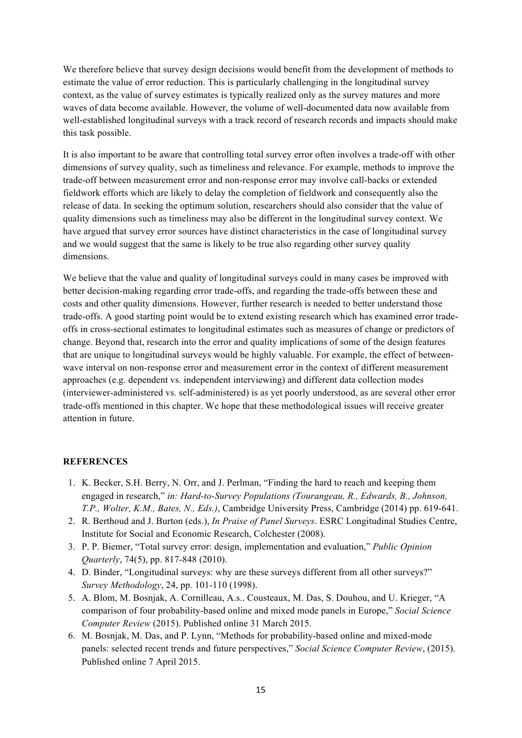We therefore believe that survey design decisions would benefit from the development of methods to estimate the value of error reduction. This is particularly challenging in the longitudinal survey context, as the value of survey estimates is typically realized only as the survey matures and more waves of data become available. However, the volume of well-documented data now available from well-established longitudinal surveys with a track record of research records and impacts should make this task possible.

It is also important to be aware that controlling total survey error often involves a trade-off with other dimensions of survey quality, such as timeliness and relevance. For example, methods to improve the trade-off between measurement error and non-response error may involve call-backs or extended fieldwork efforts which are likely to delay the completion of fieldwork and consequently also the release of data. In seeking the optimum solution, researchers should also consider that the value of quality dimensions such as timeliness may also be different in the longitudinal survey context. We have argued that survey error sources have distinct characteristics in the case of longitudinal survey and we would suggest that the same is likely to be true also regarding other survey quality dimensions.

We believe that the value and quality of longitudinal surveys could in many cases be improved with better decision-making regarding error trade-offs, and regarding the trade-offs between these and costs and other quality dimensions. However, further research is needed to better understand those trade-offs. A good starting point would be to extend existing research which has examined error tradeoffs in cross-sectional estimates to longitudinal estimates such as measures of change or predictors of change. Beyond that, research into the error and quality implications of some of the design features that are unique to longitudinal surveys would be highly valuable. For example, the effect of betweenwave interval on non-response error and measurement error in the context of different measurement approaches (e.g. dependent vs. independent interviewing) and different data collection modes (interviewer-administered vs. self-administered) is as yet poorly understood, as are several other error trade-offs mentioned in this chapter. We hope that these methodological issues will receive greater attention in future.

#### **REFERENCES**

- 1. K. Becker, S.H. Berry, N. Orr, and J. Perlman, "Finding the hard to reach and keeping them engaged in research," *in: Hard-to-Survey Populations (Tourangeau, R., Edwards, B., Johnson, T.P., Wolter, K.M., Bates, N., Eds.)*, Cambridge University Press, Cambridge (2014) pp. 619-641.
- 2. R. Berthoud and J. Burton (eds.), *In Praise of Panel Surveys*. ESRC Longitudinal Studies Centre, Institute for Social and Economic Research, Colchester (2008).
- 3. P. P. Biemer, "Total survey error: design, implementation and evaluation," *Public Opinion Quarterly*, 74(5), pp. 817-848 (2010).
- 4. D. Binder, "Longitudinal surveys: why are these surveys different from all other surveys?" *Survey Methodology*, 24, pp. 101-110 (1998).
- 5. A. Blom, M. Bosnjak, A. Cornilleau, A.s.. Cousteaux, M. Das, S. Douhou, and U. Krieger, "A comparison of four probability-based online and mixed mode panels in Europe," *Social Science Computer Review* (2015). Published online 31 March 2015.
- 6. M. Bosnjak, M. Das, and P. Lynn, "Methods for probability-based online and mixed-mode panels: selected recent trends and future perspectives," *Social Science Computer Review*, (2015). Published online 7 April 2015.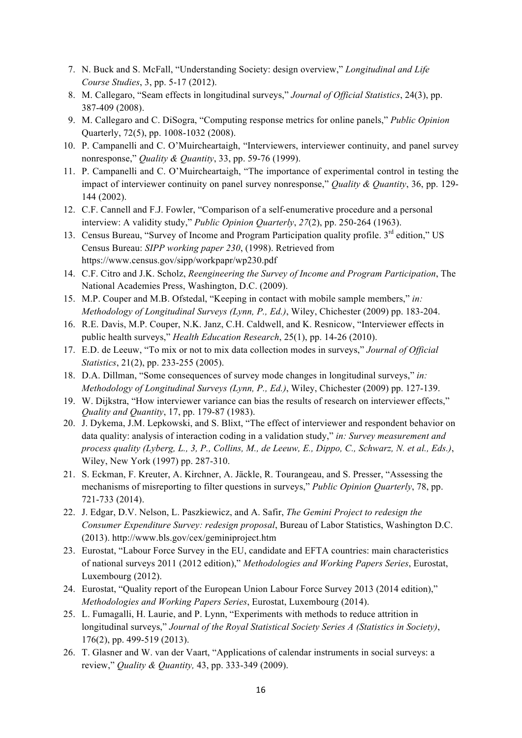- 7. N. Buck and S. McFall, "Understanding Society: design overview," *Longitudinal and Life Course Studies*, 3, pp. 5-17 (2012).
- 8. M. Callegaro, "Seam effects in longitudinal surveys," *Journal of Official Statistics*, 24(3), pp. 387-409 (2008).
- 9. M. Callegaro and C. DiSogra, "Computing response metrics for online panels," *Public Opinion*  Quarterly, 72(5), pp. 1008-1032 (2008).
- 10. P. Campanelli and C. O'Muircheartaigh, "Interviewers, interviewer continuity, and panel survey nonresponse," *Quality & Quantity*, 33, pp. 59-76 (1999).
- 11. P. Campanelli and C. O'Muircheartaigh, "The importance of experimental control in testing the impact of interviewer continuity on panel survey nonresponse," *Quality & Quantity*, 36, pp. 129- 144 (2002).
- 12. C.F. Cannell and F.J. Fowler, "Comparison of a self-enumerative procedure and a personal interview: A validity study," *Public Opinion Quarterly*, *27*(2), pp. 250-264 (1963).
- 13. Census Bureau, "Survey of Income and Program Participation quality profile. 3<sup>rd</sup> edition," US Census Bureau: *SIPP working paper 230*, (1998). Retrieved from https://www.census.gov/sipp/workpapr/wp230.pdf
- 14. C.F. Citro and J.K. Scholz, *Reengineering the Survey of Income and Program Participation*, The National Academies Press, Washington, D.C. (2009).
- 15. M.P. Couper and M.B. Ofstedal, "Keeping in contact with mobile sample members," *in: Methodology of Longitudinal Surveys (Lynn, P., Ed.)*, Wiley, Chichester (2009) pp. 183-204.
- 16. R.E. Davis, M.P. Couper, N.K. Janz, C.H. Caldwell, and K. Resnicow, "Interviewer effects in public health surveys," *Health Education Research*, 25(1), pp. 14-26 (2010).
- 17. E.D. de Leeuw, "To mix or not to mix data collection modes in surveys," *Journal of Official Statistics*, 21(2), pp. 233-255 (2005).
- 18. D.A. Dillman, "Some consequences of survey mode changes in longitudinal surveys," *in: Methodology of Longitudinal Surveys (Lynn, P., Ed.)*, Wiley, Chichester (2009) pp. 127-139.
- 19. W. Dijkstra, "How interviewer variance can bias the results of research on interviewer effects," *Quality and Quantity*, 17, pp. 179-87 (1983).
- 20. J. Dykema, J.M. Lepkowski, and S. Blixt, "The effect of interviewer and respondent behavior on data quality: analysis of interaction coding in a validation study," *in: Survey measurement and process quality (Lyberg, L., 3, P., Collins, M., de Leeuw, E., Dippo, C., Schwarz, N. et al., Eds.)*, Wiley, New York (1997) pp. 287-310.
- 21. S. Eckman, F. Kreuter, A. Kirchner, A. Jäckle, R. Tourangeau, and S. Presser, "Assessing the mechanisms of misreporting to filter questions in surveys," *Public Opinion Quarterly*, 78, pp. 721-733 (2014).
- 22. J. Edgar, D.V. Nelson, L. Paszkiewicz, and A. Safir, *The Gemini Project to redesign the Consumer Expenditure Survey: redesign proposal*, Bureau of Labor Statistics, Washington D.C. (2013). http://www.bls.gov/cex/geminiproject.htm
- 23. Eurostat, "Labour Force Survey in the EU, candidate and EFTA countries: main characteristics of national surveys 2011 (2012 edition)," *Methodologies and Working Papers Series*, Eurostat, Luxembourg (2012).
- 24. Eurostat, "Quality report of the European Union Labour Force Survey 2013 (2014 edition)," *Methodologies and Working Papers Series*, Eurostat, Luxembourg (2014).
- 25. L. Fumagalli, H. Laurie, and P. Lynn, "Experiments with methods to reduce attrition in longitudinal surveys," *Journal of the Royal Statistical Society Series A (Statistics in Society)*, 176(2), pp. 499-519 (2013).
- 26. T. Glasner and W. van der Vaart, "Applications of calendar instruments in social surveys: a review," *Quality & Quantity,* 43, pp. 333-349 (2009).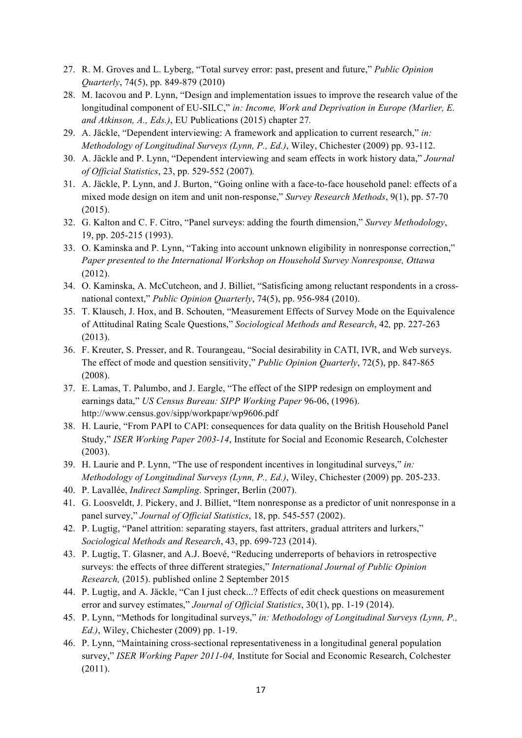- 27. R. M. Groves and L. Lyberg, "Total survey error: past, present and future," *Public Opinion Quarterly*, 74(5), pp. 849-879 (2010)
- 28. M. Iacovou and P. Lynn, "Design and implementation issues to improve the research value of the longitudinal component of EU-SILC," *in: Income, Work and Deprivation in Europe (Marlier, E. and Atkinson, A., Eds.)*, EU Publications (2015) chapter 27*.*
- 29. A. Jäckle, "Dependent interviewing: A framework and application to current research," *in: Methodology of Longitudinal Surveys (Lynn, P., Ed.)*, Wiley, Chichester (2009) pp. 93-112.
- 30. A. Jäckle and P. Lynn, "Dependent interviewing and seam effects in work history data," *Journal of Official Statistics*, 23, pp. 529-552 (2007)*.*
- 31. A. Jäckle, P. Lynn, and J. Burton, "Going online with a face-to-face household panel: effects of a mixed mode design on item and unit non-response," *Survey Research Methods*, 9(1), pp. 57-70 (2015).
- 32. G. Kalton and C. F. Citro, "Panel surveys: adding the fourth dimension," *Survey Methodology*, 19, pp. 205-215 (1993).
- 33. O. Kaminska and P. Lynn, "Taking into account unknown eligibility in nonresponse correction," *Paper presented to the International Workshop on Household Survey Nonresponse, Ottawa* (2012).
- 34. O. Kaminska, A. McCutcheon, and J. Billiet, "Satisficing among reluctant respondents in a crossnational context," *Public Opinion Quarterly*, 74(5), pp. 956-984 (2010).
- 35. T. Klausch, J. Hox, and B. Schouten, "Measurement Effects of Survey Mode on the Equivalence of Attitudinal Rating Scale Questions," *Sociological Methods and Research*, 42*,* pp. 227-263 (2013).
- 36. F. Kreuter, S. Presser, and R. Tourangeau, "Social desirability in CATI, IVR, and Web surveys. The effect of mode and question sensitivity," *Public Opinion Quarterly*, 72(5), pp. 847-865 (2008).
- 37. E. Lamas, T. Palumbo, and J. Eargle, "The effect of the SIPP redesign on employment and earnings data," *US Census Bureau: SIPP Working Paper* 96-06, (1996). http://www.census.gov/sipp/workpapr/wp9606.pdf
- 38. H. Laurie, "From PAPI to CAPI: consequences for data quality on the British Household Panel Study," *ISER Working Paper 2003-14*, Institute for Social and Economic Research, Colchester (2003).
- 39. H. Laurie and P. Lynn, "The use of respondent incentives in longitudinal surveys," *in: Methodology of Longitudinal Surveys (Lynn, P., Ed.)*, Wiley, Chichester (2009) pp. 205-233.
- 40. P. Lavallée, *Indirect Sampling*. Springer, Berlin (2007).
- 41. G. Loosveldt, J. Pickery, and J. Billiet, "Item nonresponse as a predictor of unit nonresponse in a panel survey," *Journal of Official Statistics*, 18, pp. 545-557 (2002).
- 42. P. Lugtig, "Panel attrition: separating stayers, fast attriters, gradual attriters and lurkers," *Sociological Methods and Research*, 43, pp. 699-723 (2014).
- 43. P. Lugtig, T. Glasner, and A.J. Boevé, "Reducing underreports of behaviors in retrospective surveys: the effects of three different strategies," *International Journal of Public Opinion Research,* (2015). published online 2 September 2015
- 44. P. Lugtig, and A. Jäckle, "Can I just check...? Effects of edit check questions on measurement error and survey estimates," *Journal of Official Statistics*, 30(1), pp. 1-19 (2014).
- 45. P. Lynn, "Methods for longitudinal surveys," *in: Methodology of Longitudinal Surveys (Lynn, P., Ed.)*, Wiley, Chichester (2009) pp. 1-19.
- 46. P. Lynn, "Maintaining cross-sectional representativeness in a longitudinal general population survey," *ISER Working Paper 2011-04,* Institute for Social and Economic Research, Colchester (2011).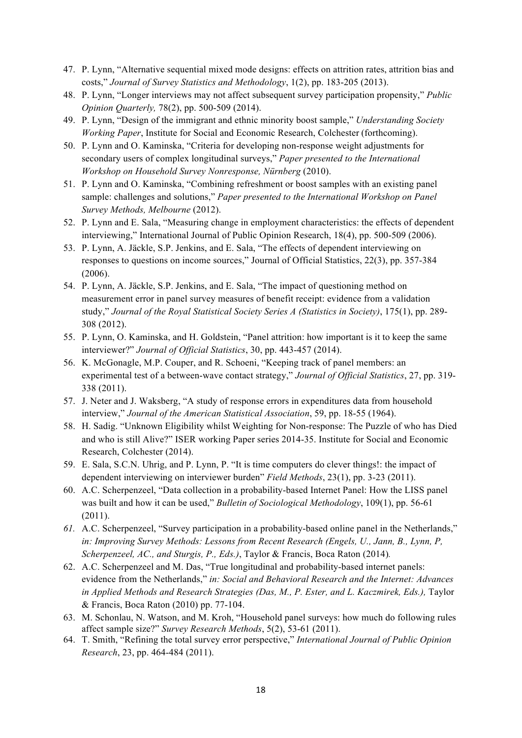- 47. P. Lynn, "Alternative sequential mixed mode designs: effects on attrition rates, attrition bias and costs," *Journal of Survey Statistics and Methodology*, 1(2), pp. 183-205 (2013).
- 48. P. Lynn, "Longer interviews may not affect subsequent survey participation propensity," *Public Opinion Quarterly,* 78(2), pp. 500-509 (2014).
- 49. P. Lynn, "Design of the immigrant and ethnic minority boost sample," *Understanding Society Working Paper*, Institute for Social and Economic Research, Colchester (forthcoming).
- 50. P. Lynn and O. Kaminska, "Criteria for developing non-response weight adjustments for secondary users of complex longitudinal surveys," *Paper presented to the International Workshop on Household Survey Nonresponse, Nürnberg* (2010).
- 51. P. Lynn and O. Kaminska, "Combining refreshment or boost samples with an existing panel sample: challenges and solutions," *Paper presented to the International Workshop on Panel Survey Methods, Melbourne* (2012).
- 52. P. Lynn and E. Sala, "Measuring change in employment characteristics: the effects of dependent interviewing," International Journal of Public Opinion Research, 18(4), pp. 500-509 (2006).
- 53. P. Lynn, A. Jäckle, S.P. Jenkins, and E. Sala, "The effects of dependent interviewing on responses to questions on income sources," Journal of Official Statistics, 22(3), pp. 357-384 (2006).
- 54. P. Lynn, A. Jäckle, S.P. Jenkins, and E. Sala, "The impact of questioning method on measurement error in panel survey measures of benefit receipt: evidence from a validation study," *Journal of the Royal Statistical Society Series A (Statistics in Society)*, 175(1), pp. 289- 308 (2012).
- 55. P. Lynn, O. Kaminska, and H. Goldstein, "Panel attrition: how important is it to keep the same interviewer?" *Journal of Official Statistics*, 30, pp. 443-457 (2014).
- 56. K. McGonagle, M.P. Couper, and R. Schoeni, "Keeping track of panel members: an experimental test of a between-wave contact strategy," *Journal of Official Statistics*, 27, pp. 319- 338 (2011).
- 57. J. Neter and J. Waksberg, "A study of response errors in expenditures data from household interview," *Journal of the American Statistical Association*, 59, pp. 18-55 (1964).
- 58. H. Sadig. "Unknown Eligibility whilst Weighting for Non-response: The Puzzle of who has Died and who is still Alive?" ISER working Paper series 2014-35. Institute for Social and Economic Research, Colchester (2014).
- 59. E. Sala, S.C.N. Uhrig, and P. Lynn, P. "It is time computers do clever things!: the impact of dependent interviewing on interviewer burden" *Field Methods*, 23(1), pp. 3-23 (2011).
- 60. A.C. Scherpenzeel, "Data collection in a probability-based Internet Panel: How the LISS panel was built and how it can be used," *Bulletin of Sociological Methodology*, 109(1), pp. 56-61 (2011).
- *61.* A.C. Scherpenzeel, "Survey participation in a probability-based online panel in the Netherlands," *in: Improving Survey Methods: Lessons from Recent Research (Engels, U., Jann, B., Lynn, P, Scherpenzeel, AC., and Sturgis, P., Eds.)*, Taylor & Francis, Boca Raton (2014)*.*
- 62. A.C. Scherpenzeel and M. Das, "True longitudinal and probability-based internet panels: evidence from the Netherlands," *in: Social and Behavioral Research and the Internet: Advances in Applied Methods and Research Strategies (Das, M., P. Ester, and L. Kaczmirek, Eds.),* Taylor & Francis, Boca Raton (2010) pp. 77-104.
- 63. M. Schonlau, N. Watson, and M. Kroh, "Household panel surveys: how much do following rules affect sample size?" *Survey Research Methods*, 5(2), 53-61 (2011).
- 64. T. Smith, "Refining the total survey error perspective," *International Journal of Public Opinion Research*, 23, pp. 464-484 (2011).